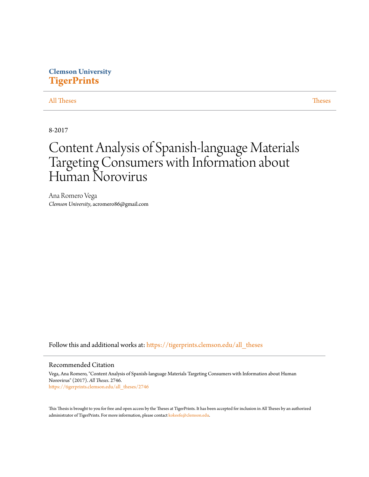## **Clemson University [TigerPrints](https://tigerprints.clemson.edu?utm_source=tigerprints.clemson.edu%2Fall_theses%2F2746&utm_medium=PDF&utm_campaign=PDFCoverPages)**

#### [All Theses](https://tigerprints.clemson.edu/all_theses?utm_source=tigerprints.clemson.edu%2Fall_theses%2F2746&utm_medium=PDF&utm_campaign=PDFCoverPages) **[Theses](https://tigerprints.clemson.edu/theses?utm_source=tigerprints.clemson.edu%2Fall_theses%2F2746&utm_medium=PDF&utm_campaign=PDFCoverPages)**

8-2017

# Content Analysis of Spanish-language Materials Targeting Consumers with Information about Human Norovirus

Ana Romero Vega *Clemson University*, acromero86@gmail.com

Follow this and additional works at: [https://tigerprints.clemson.edu/all\\_theses](https://tigerprints.clemson.edu/all_theses?utm_source=tigerprints.clemson.edu%2Fall_theses%2F2746&utm_medium=PDF&utm_campaign=PDFCoverPages)

#### Recommended Citation

Vega, Ana Romero, "Content Analysis of Spanish-language Materials Targeting Consumers with Information about Human Norovirus" (2017). *All Theses*. 2746. [https://tigerprints.clemson.edu/all\\_theses/2746](https://tigerprints.clemson.edu/all_theses/2746?utm_source=tigerprints.clemson.edu%2Fall_theses%2F2746&utm_medium=PDF&utm_campaign=PDFCoverPages)

This Thesis is brought to you for free and open access by the Theses at TigerPrints. It has been accepted for inclusion in All Theses by an authorized administrator of TigerPrints. For more information, please contact [kokeefe@clemson.edu](mailto:kokeefe@clemson.edu).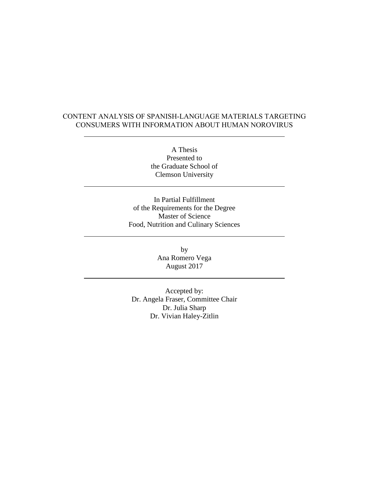### CONTENT ANALYSIS OF SPANISH-LANGUAGE MATERIALS TARGETING CONSUMERS WITH INFORMATION ABOUT HUMAN NOROVIRUS

A Thesis Presented to the Graduate School of Clemson University

In Partial Fulfillment of the Requirements for the Degree Master of Science Food, Nutrition and Culinary Sciences

> by Ana Romero Vega August 2017

Accepted by: Dr. Angela Fraser, Committee Chair Dr. Julia Sharp Dr. Vivian Haley-Zitlin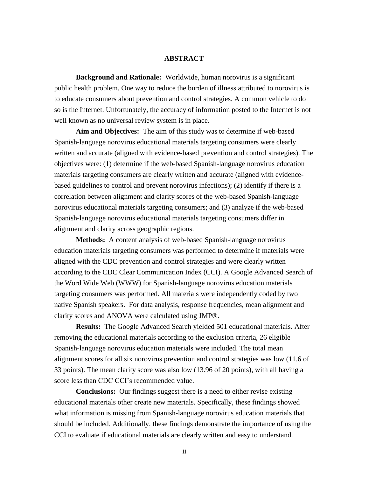#### **ABSTRACT**

**Background and Rationale:** Worldwide, human norovirus is a significant public health problem. One way to reduce the burden of illness attributed to norovirus is to educate consumers about prevention and control strategies. A common vehicle to do so is the Internet. Unfortunately, the accuracy of information posted to the Internet is not well known as no universal review system is in place.

**Aim and Objectives:** The aim of this study was to determine if web-based Spanish-language norovirus educational materials targeting consumers were clearly written and accurate (aligned with evidence-based prevention and control strategies). The objectives were: (1) determine if the web-based Spanish-language norovirus education materials targeting consumers are clearly written and accurate (aligned with evidencebased guidelines to control and prevent norovirus infections); (2) identify if there is a correlation between alignment and clarity scores of the web-based Spanish-language norovirus educational materials targeting consumers; and (3) analyze if the web-based Spanish-language norovirus educational materials targeting consumers differ in alignment and clarity across geographic regions.

**Methods:** A content analysis of web-based Spanish-language norovirus education materials targeting consumers was performed to determine if materials were aligned with the CDC prevention and control strategies and were clearly written according to the CDC Clear Communication Index (CCI). A Google Advanced Search of the Word Wide Web (WWW) for Spanish-language norovirus education materials targeting consumers was performed. All materials were independently coded by two native Spanish speakers. For data analysis, response frequencies, mean alignment and clarity scores and ANOVA were calculated using JMP®.

**Results:** The Google Advanced Search yielded 501 educational materials. After removing the educational materials according to the exclusion criteria, 26 eligible Spanish-language norovirus education materials were included. The total mean alignment scores for all six norovirus prevention and control strategies was low (11.6 of 33 points). The mean clarity score was also low (13.96 of 20 points), with all having a score less than CDC CCI's recommended value.

**Conclusions:** Our findings suggest there is a need to either revise existing educational materials other create new materials. Specifically, these findings showed what information is missing from Spanish-language norovirus education materials that should be included. Additionally, these findings demonstrate the importance of using the CCI to evaluate if educational materials are clearly written and easy to understand.

ii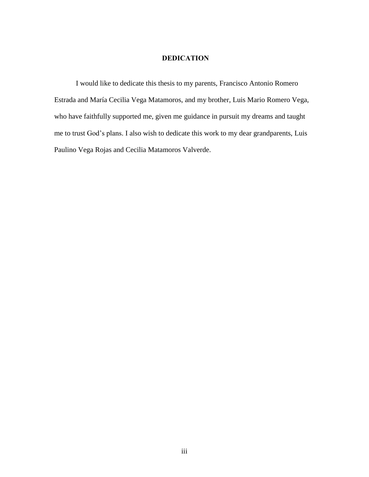#### **DEDICATION**

I would like to dedicate this thesis to my parents, Francisco Antonio Romero Estrada and María Cecilia Vega Matamoros, and my brother, Luis Mario Romero Vega, who have faithfully supported me, given me guidance in pursuit my dreams and taught me to trust God's plans. I also wish to dedicate this work to my dear grandparents, Luis Paulino Vega Rojas and Cecilia Matamoros Valverde.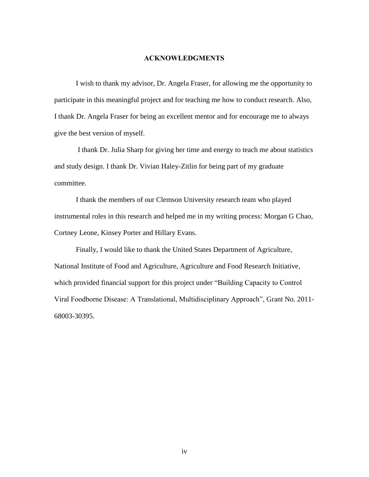#### **ACKNOWLEDGMENTS**

I wish to thank my advisor, Dr. Angela Fraser, for allowing me the opportunity to participate in this meaningful project and for teaching me how to conduct research. Also, I thank Dr. Angela Fraser for being an excellent mentor and for encourage me to always give the best version of myself.

I thank Dr. Julia Sharp for giving her time and energy to teach me about statistics and study design. I thank Dr. Vivian Haley-Zitlin for being part of my graduate committee.

I thank the members of our Clemson University research team who played instrumental roles in this research and helped me in my writing process: Morgan G Chao, Cortney Leone, Kinsey Porter and Hillary Evans.

Finally, I would like to thank the United States Department of Agriculture, National Institute of Food and Agriculture, Agriculture and Food Research Initiative, which provided financial support for this project under "Building Capacity to Control Viral Foodborne Disease: A Translational, Multidisciplinary Approach", Grant No. 2011- 68003-30395.

iv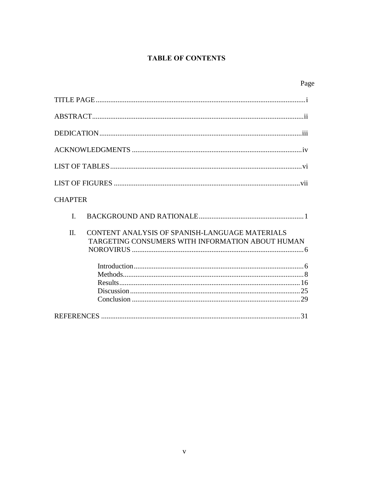## **TABLE OF CONTENTS**

|                |                                                                                                    | Page |
|----------------|----------------------------------------------------------------------------------------------------|------|
|                |                                                                                                    |      |
|                |                                                                                                    |      |
|                |                                                                                                    |      |
|                |                                                                                                    |      |
|                |                                                                                                    |      |
|                |                                                                                                    |      |
| <b>CHAPTER</b> |                                                                                                    |      |
| $\mathbf{I}$ . |                                                                                                    |      |
| II.            | CONTENT ANALYSIS OF SPANISH-LANGUAGE MATERIALS<br>TARGETING CONSUMERS WITH INFORMATION ABOUT HUMAN |      |
|                |                                                                                                    |      |
|                |                                                                                                    |      |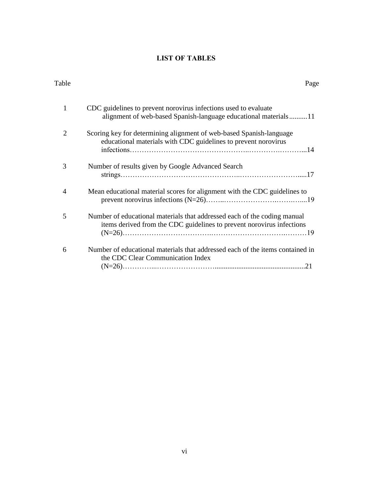## **LIST OF TABLES**

| Table          | Page                                                                                                                                              |
|----------------|---------------------------------------------------------------------------------------------------------------------------------------------------|
| 1              | CDC guidelines to prevent norovirus infections used to evaluate<br>alignment of web-based Spanish-language educational materials11                |
| 2              | Scoring key for determining alignment of web-based Spanish-language<br>educational materials with CDC guidelines to prevent norovirus             |
| 3              | Number of results given by Google Advanced Search                                                                                                 |
| $\overline{4}$ | Mean educational material scores for alignment with the CDC guidelines to                                                                         |
| 5              | Number of educational materials that addressed each of the coding manual<br>items derived from the CDC guidelines to prevent norovirus infections |
| 6              | Number of educational materials that addressed each of the items contained in<br>the CDC Clear Communication Index                                |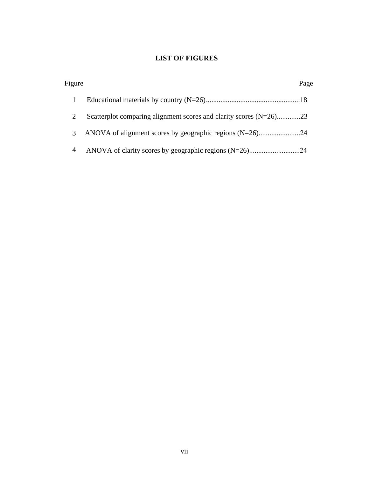## **LIST OF FIGURES**

| Figure |                                                                       | Page |
|--------|-----------------------------------------------------------------------|------|
|        |                                                                       |      |
|        | Scatterplot comparing alignment scores and clarity scores $(N=26)$ 23 |      |
| 3      |                                                                       |      |
| 4      |                                                                       |      |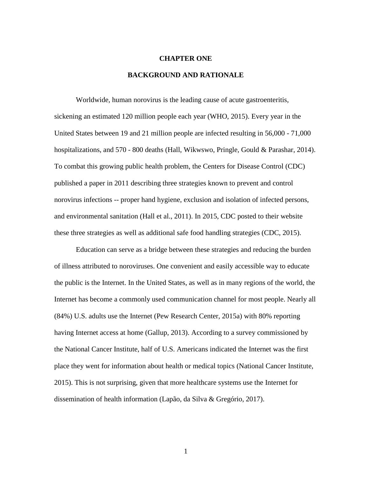#### **CHAPTER ONE**

#### **BACKGROUND AND RATIONALE**

Worldwide, human norovirus is the leading cause of acute gastroenteritis, sickening an estimated 120 million people each year (WHO, 2015). Every year in the United States between 19 and 21 million people are infected resulting in 56,000 - 71,000 hospitalizations, and 570 - 800 deaths (Hall, Wikwswo, Pringle, Gould & Parashar, 2014). To combat this growing public health problem, the Centers for Disease Control (CDC) published a paper in 2011 describing three strategies known to prevent and control norovirus infections -- proper hand hygiene, exclusion and isolation of infected persons, and environmental sanitation (Hall et al., 2011). In 2015, CDC posted to their website these three strategies as well as additional safe food handling strategies (CDC, 2015).

Education can serve as a bridge between these strategies and reducing the burden of illness attributed to noroviruses. One convenient and easily accessible way to educate the public is the Internet. In the United States, as well as in many regions of the world, the Internet has become a commonly used communication channel for most people. Nearly all (84%) U.S. adults use the Internet (Pew Research Center, 2015a) with 80% reporting having Internet access at home (Gallup, 2013). According to a survey commissioned by the National Cancer Institute, half of U.S. Americans indicated the Internet was the first place they went for information about health or medical topics (National Cancer Institute, 2015). This is not surprising, given that more healthcare systems use the Internet for dissemination of health information (Lapão, da Silva & Gregório, 2017).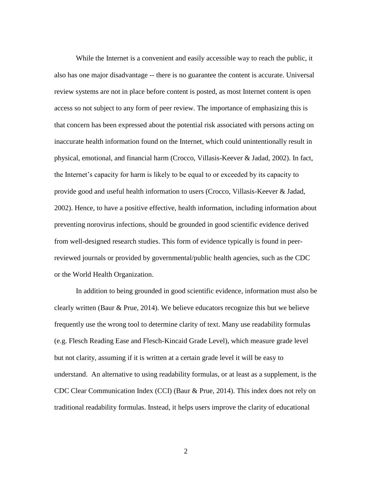While the Internet is a convenient and easily accessible way to reach the public, it also has one major disadvantage -- there is no guarantee the content is accurate. Universal review systems are not in place before content is posted, as most Internet content is open access so not subject to any form of peer review. The importance of emphasizing this is that concern has been expressed about the potential risk associated with persons acting on inaccurate health information found on the Internet, which could unintentionally result in physical, emotional, and financial harm (Crocco, Villasis-Keever & Jadad, 2002). In fact, the Internet's capacity for harm is likely to be equal to or exceeded by its capacity to provide good and useful health information to users (Crocco, Villasis-Keever & Jadad, 2002). Hence, to have a positive effective, health information, including information about preventing norovirus infections, should be grounded in good scientific evidence derived from well-designed research studies. This form of evidence typically is found in peerreviewed journals or provided by governmental/public health agencies, such as the CDC or the World Health Organization.

In addition to being grounded in good scientific evidence, information must also be clearly written (Baur & Prue, 2014). We believe educators recognize this but we believe frequently use the wrong tool to determine clarity of text. Many use readability formulas (e.g. Flesch Reading Ease and Flesch-Kincaid Grade Level), which measure grade level but not clarity, assuming if it is written at a certain grade level it will be easy to understand. An alternative to using readability formulas, or at least as a supplement, is the CDC Clear Communication Index (CCI) (Baur & Prue, 2014). This index does not rely on traditional readability formulas. Instead, it helps users improve the clarity of educational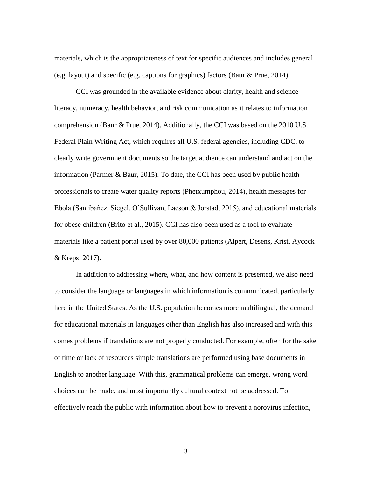materials, which is the appropriateness of text for specific audiences and includes general (e.g. layout) and specific (e.g. captions for graphics) factors (Baur & Prue, 2014).

CCI was grounded in the available evidence about clarity, health and science literacy, numeracy, health behavior, and risk communication as it relates to information comprehension (Baur & Prue, 2014). Additionally, the CCI was based on the 2010 U.S. Federal Plain Writing Act, which requires all U.S. federal agencies, including CDC, to clearly write government documents so the target audience can understand and act on the information (Parmer & Baur, 2015). To date, the CCI has been used by public health professionals to create water quality reports (Phetxumphou, 2014), health messages for Ebola (Santibañez, Siegel, O'Sullivan, Lacson & Jorstad, 2015), and educational materials for obese children (Brito et al., 2015). CCI has also been used as a tool to evaluate materials like a patient portal used by over 80,000 patients (Alpert, Desens, Krist, Aycock & Kreps 2017).

In addition to addressing where, what, and how content is presented, we also need to consider the language or languages in which information is communicated, particularly here in the United States. As the U.S. population becomes more multilingual, the demand for educational materials in languages other than English has also increased and with this comes problems if translations are not properly conducted. For example, often for the sake of time or lack of resources simple translations are performed using base documents in English to another language. With this, grammatical problems can emerge, wrong word choices can be made, and most importantly cultural context not be addressed. To effectively reach the public with information about how to prevent a norovirus infection,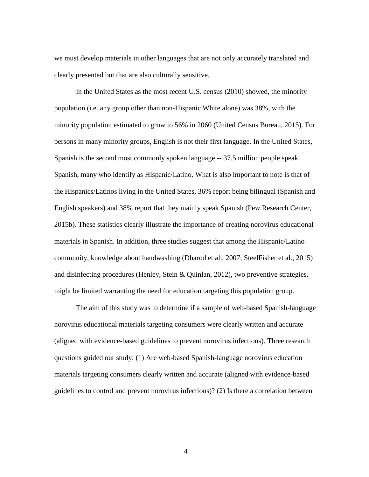we must develop materials in other languages that are not only accurately translated and clearly presented but that are also culturally sensitive.

In the United States as the most recent U.S. census (2010) showed, the minority population (i.e. any group other than non-Hispanic White alone) was 38%, with the minority population estimated to grow to 56% in 2060 (United Census Bureau, 2015). For persons in many minority groups, English is not their first language. In the United States, Spanish is the second most commonly spoken language -- 37.5 million people speak Spanish, many who identify as Hispanic/Latino. What is also important to note is that of the Hispanics/Latinos living in the United States, 36% report being bilingual (Spanish and English speakers) and 38% report that they mainly speak Spanish (Pew Research Center, 2015b). These statistics clearly illustrate the importance of creating norovirus educational materials in Spanish. In addition, three studies suggest that among the Hispanic/Latino community, knowledge about handwashing (Dharod et al., 2007; SteelFisher et al., 2015) and disinfecting procedures (Henley, Stein & Quinlan, 2012), two preventive strategies, might be limited warranting the need for education targeting this population group.

The aim of this study was to determine if a sample of web-based Spanish-language norovirus educational materials targeting consumers were clearly written and accurate (aligned with evidence-based guidelines to prevent norovirus infections). Three research questions guided our study: (1) Are web-based Spanish-language norovirus education materials targeting consumers clearly written and accurate (aligned with evidence-based guidelines to control and prevent norovirus infections)? (2) Is there a correlation between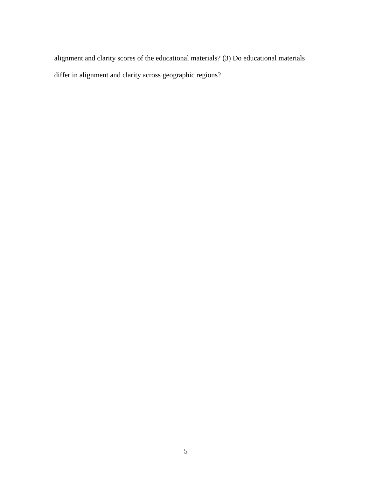alignment and clarity scores of the educational materials? (3) Do educational materials differ in alignment and clarity across geographic regions?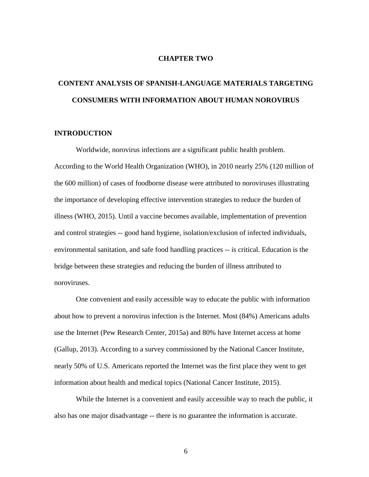#### **CHAPTER TWO**

## **CONTENT ANALYSIS OF SPANISH-LANGUAGE MATERIALS TARGETING CONSUMERS WITH INFORMATION ABOUT HUMAN NOROVIRUS**

#### **INTRODUCTION**

Worldwide, norovirus infections are a significant public health problem. According to the World Health Organization (WHO), in 2010 nearly 25% (120 million of the 600 million) of cases of foodborne disease were attributed to noroviruses illustrating the importance of developing effective intervention strategies to reduce the burden of illness (WHO, 2015). Until a vaccine becomes available, implementation of prevention and control strategies -- good hand hygiene, isolation/exclusion of infected individuals, environmental sanitation, and safe food handling practices -- is critical. Education is the bridge between these strategies and reducing the burden of illness attributed to noroviruses.

One convenient and easily accessible way to educate the public with information about how to prevent a norovirus infection is the Internet. Most (84%) Americans adults use the Internet (Pew Research Center, 2015a) and 80% have Internet access at home (Gallup, 2013). According to a survey commissioned by the National Cancer Institute, nearly 50% of U.S. Americans reported the Internet was the first place they went to get information about health and medical topics (National Cancer Institute, 2015).

While the Internet is a convenient and easily accessible way to reach the public, it also has one major disadvantage -- there is no guarantee the information is accurate.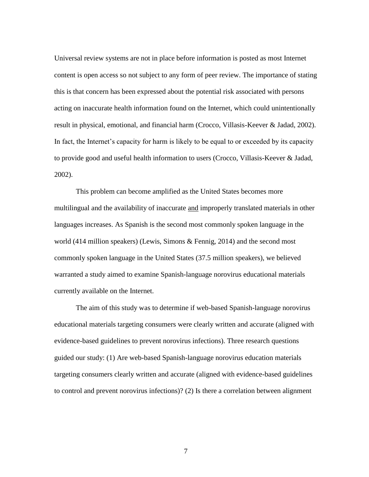Universal review systems are not in place before information is posted as most Internet content is open access so not subject to any form of peer review. The importance of stating this is that concern has been expressed about the potential risk associated with persons acting on inaccurate health information found on the Internet, which could unintentionally result in physical, emotional, and financial harm (Crocco, Villasis-Keever & Jadad, 2002). In fact, the Internet's capacity for harm is likely to be equal to or exceeded by its capacity to provide good and useful health information to users (Crocco, Villasis-Keever & Jadad, 2002).

This problem can become amplified as the United States becomes more multilingual and the availability of inaccurate and improperly translated materials in other languages increases. As Spanish is the second most commonly spoken language in the world (414 million speakers) (Lewis, Simons & Fennig, 2014) and the second most commonly spoken language in the United States (37.5 million speakers), we believed warranted a study aimed to examine Spanish-language norovirus educational materials currently available on the Internet.

The aim of this study was to determine if web-based Spanish-language norovirus educational materials targeting consumers were clearly written and accurate (aligned with evidence-based guidelines to prevent norovirus infections). Three research questions guided our study: (1) Are web-based Spanish-language norovirus education materials targeting consumers clearly written and accurate (aligned with evidence-based guidelines to control and prevent norovirus infections)? (2) Is there a correlation between alignment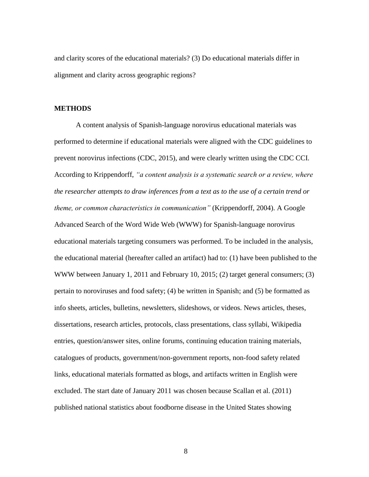and clarity scores of the educational materials? (3) Do educational materials differ in alignment and clarity across geographic regions?

#### **METHODS**

A content analysis of Spanish-language norovirus educational materials was performed to determine if educational materials were aligned with the CDC guidelines to prevent norovirus infections (CDC, 2015), and were clearly written using the CDC CCI. According to Krippendorff, *"a content analysis is a systematic search or a review, where the researcher attempts to draw inferences from a text as to the use of a certain trend or theme, or common characteristics in communication"* (Krippendorff, 2004). A Google Advanced Search of the Word Wide Web (WWW) for Spanish-language norovirus educational materials targeting consumers was performed. To be included in the analysis, the educational material (hereafter called an artifact) had to: (1) have been published to the WWW between January 1, 2011 and February 10, 2015; (2) target general consumers; (3) pertain to noroviruses and food safety; (4) be written in Spanish; and (5) be formatted as info sheets, articles, bulletins, newsletters, slideshows, or videos. News articles, theses, dissertations, research articles, protocols, class presentations, class syllabi, Wikipedia entries, question/answer sites, online forums, continuing education training materials, catalogues of products, government/non-government reports, non-food safety related links, educational materials formatted as blogs, and artifacts written in English were excluded. The start date of January 2011 was chosen because Scallan et al. (2011) published national statistics about foodborne disease in the United States showing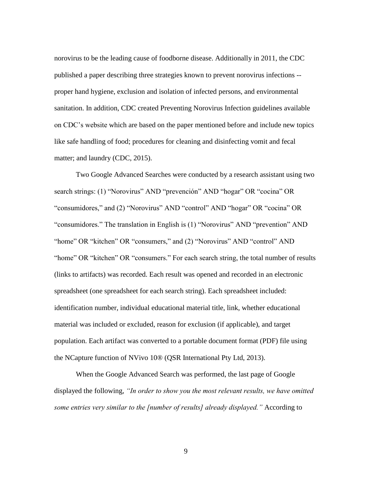norovirus to be the leading cause of foodborne disease. Additionally in 2011, the CDC published a paper describing three strategies known to prevent norovirus infections - proper hand hygiene, exclusion and isolation of infected persons, and environmental sanitation. In addition, CDC created Preventing Norovirus Infection guidelines available on CDC's website which are based on the paper mentioned before and include new topics like safe handling of food; procedures for cleaning and disinfecting vomit and fecal matter; and laundry (CDC, 2015).

Two Google Advanced Searches were conducted by a research assistant using two search strings: (1) "Norovirus" AND "prevención" AND "hogar" OR "cocina" OR "consumidores," and (2) "Norovirus" AND "control" AND "hogar" OR "cocina" OR "consumidores." The translation in English is (1) "Norovirus" AND "prevention" AND "home" OR "kitchen" OR "consumers," and (2) "Norovirus" AND "control" AND "home" OR "kitchen" OR "consumers." For each search string, the total number of results (links to artifacts) was recorded. Each result was opened and recorded in an electronic spreadsheet (one spreadsheet for each search string). Each spreadsheet included: identification number, individual educational material title, link, whether educational material was included or excluded, reason for exclusion (if applicable), and target population. Each artifact was converted to a portable document format (PDF) file using the NCapture function of NVivo 10® (QSR International Pty Ltd, 2013).

When the Google Advanced Search was performed, the last page of Google displayed the following, *"In order to show you the most relevant results, we have omitted some entries very similar to the [number of results] already displayed."* According to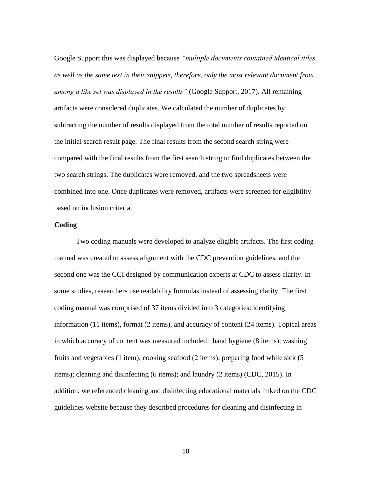Google Support this was displayed because *"multiple documents contained identical titles as well as the same text in their snippets, therefore, only the most relevant document from among a like set was displayed in the results"* (Google Support, 2017). All remaining artifacts were considered duplicates. We calculated the number of duplicates by subtracting the number of results displayed from the total number of results reported on the initial search result page. The final results from the second search string were compared with the final results from the first search string to find duplicates between the two search strings. The duplicates were removed, and the two spreadsheets were combined into one. Once duplicates were removed, artifacts were screened for eligibility based on inclusion criteria.

#### **Coding**

Two coding manuals were developed to analyze eligible artifacts. The first coding manual was created to assess alignment with the CDC prevention guidelines, and the second one was the CCI designed by communication experts at CDC to assess clarity. In some studies, researchers use readability formulas instead of assessing clarity*.* The first coding manual was comprised of 37 items divided into 3 categories: identifying information (11 items), format (2 items), and accuracy of content (24 items). Topical areas in which accuracy of content was measured included: hand hygiene (8 items); washing fruits and vegetables (1 item); cooking seafood (2 items); preparing food while sick (5 items); cleaning and disinfecting (6 items); and laundry (2 items) (CDC, 2015). In addition, we referenced cleaning and disinfecting educational materials linked on the CDC guidelines website because they described procedures for cleaning and disinfecting in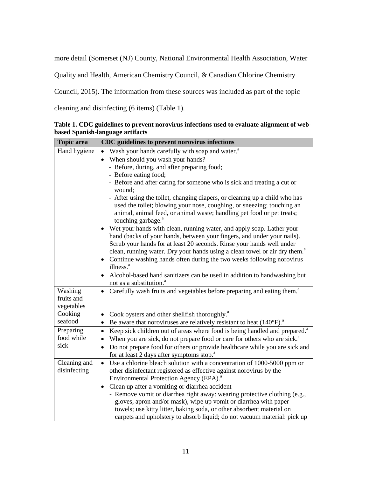more detail (Somerset (NJ) County, National Environmental Health Association, Water

Quality and Health, American Chemistry Council, & Canadian Chlorine Chemistry

Council, 2015). The information from these sources was included as part of the topic

cleaning and disinfecting (6 items) (Table 1).

| <b>Topic</b> area     | CDC guidelines to prevent norovirus infections                                                           |
|-----------------------|----------------------------------------------------------------------------------------------------------|
| Hand hygiene          | Wash your hands carefully with soap and water. <sup>a</sup>                                              |
|                       | When should you wash your hands?<br>$\bullet$                                                            |
|                       | - Before, during, and after preparing food;                                                              |
|                       | - Before eating food;                                                                                    |
|                       | - Before and after caring for someone who is sick and treating a cut or<br>wound;                        |
|                       | - After using the toilet, changing diapers, or cleaning up a child who has                               |
|                       | used the toilet; blowing your nose, coughing, or sneezing; touching an                                   |
|                       | animal, animal feed, or animal waste; handling pet food or pet treats;<br>touching garbage. <sup>a</sup> |
|                       | • Wet your hands with clean, running water, and apply soap. Lather your                                  |
|                       | hand (backs of your hands, between your fingers, and under your nails).                                  |
|                       | Scrub your hands for at least 20 seconds. Rinse your hands well under                                    |
|                       | clean, running water. Dry your hands using a clean towel or air dry them. <sup>a</sup>                   |
|                       | Continue washing hands often during the two weeks following norovirus<br>$\bullet$                       |
|                       | illness. <sup>a</sup>                                                                                    |
|                       | Alcohol-based hand sanitizers can be used in addition to handwashing but                                 |
|                       | not as a substitution. <sup>a</sup>                                                                      |
| Washing<br>fruits and | Carefully wash fruits and vegetables before preparing and eating them. <sup>a</sup>                      |
| vegetables            |                                                                                                          |
| Cooking               | Cook oysters and other shellfish thoroughly. <sup>a</sup><br>$\bullet$                                   |
| seafood               | Be aware that noroviruses are relatively resistant to heat $(140^{\circ}F)^{a}$ .                        |
| Preparing             | Keep sick children out of areas where food is being handled and prepared. <sup>a</sup><br>$\bullet$      |
| food while            | When you are sick, do not prepare food or care for others who are sick. <sup>a</sup>                     |
| sick                  | Do not prepare food for others or provide healthcare while you are sick and<br>$\bullet$                 |
|                       | for at least 2 days after symptoms stop. <sup>a</sup>                                                    |
| Cleaning and          | Use a chlorine bleach solution with a concentration of 1000-5000 ppm or<br>$\bullet$                     |
| disinfecting          | other disinfectant registered as effective against norovirus by the                                      |
|                       | Environmental Protection Agency (EPA). <sup>a</sup>                                                      |
|                       | • Clean up after a vomiting or diarrhea accident                                                         |
|                       | - Remove vomit or diarrhea right away: wearing protective clothing (e.g.,                                |
|                       | gloves, apron and/or mask), wipe up vomit or diarrhea with paper                                         |
|                       | towels; use kitty litter, baking soda, or other absorbent material on                                    |
|                       | carpets and upholstery to absorb liquid; do not vacuum material: pick up                                 |

**Table 1. CDC guidelines to prevent norovirus infections used to evaluate alignment of webbased Spanish-language artifacts**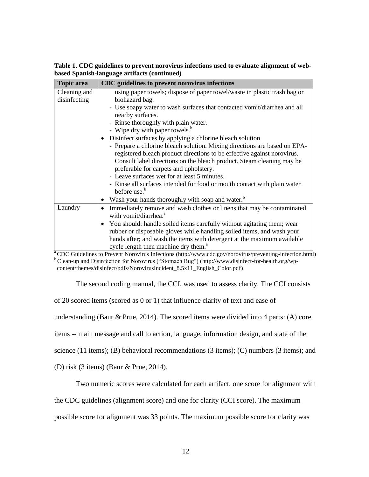**Table 1. CDC guidelines to prevent norovirus infections used to evaluate alignment of webbased Spanish-language artifacts (continued)** 

| <b>Topic</b> area | CDC guidelines to prevent norovirus infections                                                                                                                                                                                                                              |  |  |  |  |  |
|-------------------|-----------------------------------------------------------------------------------------------------------------------------------------------------------------------------------------------------------------------------------------------------------------------------|--|--|--|--|--|
| Cleaning and      | using paper towels; dispose of paper towel/waste in plastic trash bag or                                                                                                                                                                                                    |  |  |  |  |  |
| disinfecting      | biohazard bag.                                                                                                                                                                                                                                                              |  |  |  |  |  |
|                   | - Use soapy water to wash surfaces that contacted vomit/diarrhea and all<br>nearby surfaces.                                                                                                                                                                                |  |  |  |  |  |
|                   |                                                                                                                                                                                                                                                                             |  |  |  |  |  |
|                   | - Rinse thoroughly with plain water.                                                                                                                                                                                                                                        |  |  |  |  |  |
|                   | - Wipe dry with paper towels. <sup>b</sup>                                                                                                                                                                                                                                  |  |  |  |  |  |
|                   | Disinfect surfaces by applying a chlorine bleach solution                                                                                                                                                                                                                   |  |  |  |  |  |
|                   | - Prepare a chlorine bleach solution. Mixing directions are based on EPA-                                                                                                                                                                                                   |  |  |  |  |  |
|                   | registered bleach product directions to be effective against norovirus.                                                                                                                                                                                                     |  |  |  |  |  |
|                   | Consult label directions on the bleach product. Steam cleaning may be                                                                                                                                                                                                       |  |  |  |  |  |
|                   | preferable for carpets and upholstery.                                                                                                                                                                                                                                      |  |  |  |  |  |
|                   |                                                                                                                                                                                                                                                                             |  |  |  |  |  |
|                   | - Rinse all surfaces intended for food or mouth contact with plain water<br>before use. <sup>b</sup>                                                                                                                                                                        |  |  |  |  |  |
|                   | Wash your hands thoroughly with soap and water. <sup>b</sup>                                                                                                                                                                                                                |  |  |  |  |  |
| Laundry           | Immediately remove and wash clothes or linens that may be contaminated                                                                                                                                                                                                      |  |  |  |  |  |
|                   | with vomit/diarrhea. <sup>a</sup>                                                                                                                                                                                                                                           |  |  |  |  |  |
|                   | $\bullet$                                                                                                                                                                                                                                                                   |  |  |  |  |  |
|                   |                                                                                                                                                                                                                                                                             |  |  |  |  |  |
|                   |                                                                                                                                                                                                                                                                             |  |  |  |  |  |
|                   | cycle length then machine dry them. <sup>a</sup>                                                                                                                                                                                                                            |  |  |  |  |  |
|                   | - Leave surfaces wet for at least 5 minutes.<br>You should: handle soiled items carefully without agitating them; wear<br>rubber or disposable gloves while handling soiled items, and wash your<br>hands after; and wash the items with detergent at the maximum available |  |  |  |  |  |

<sup>a</sup>CDC Guidelines to Prevent Norovirus Infections (http://www.cdc.gov/norovirus/preventing-infection.html) <sup>b</sup> Clean-up and Disinfection for Norovirus ("Stomach Bug") [\(http://www.disinfect-for-health.org/wp](http://www.disinfect-for-health.org/wp-content/themes/disinfect/pdfs/NorovirusIncident_8.5x11_English_Color.pdf)[content/themes/disinfect/pdfs/NorovirusIncident\\_8.5x11\\_English\\_Color.pdf\)](http://www.disinfect-for-health.org/wp-content/themes/disinfect/pdfs/NorovirusIncident_8.5x11_English_Color.pdf)

The second coding manual, the CCI, was used to assess clarity. The CCI consists

of 20 scored items (scored as 0 or 1) that influence clarity of text and ease of

understanding (Baur & Prue, 2014). The scored items were divided into 4 parts: (A) core

items -- main message and call to action, language, information design, and state of the

science (11 items); (B) behavioral recommendations (3 items); (C) numbers (3 items); and

(D) risk (3 items) (Baur & Prue, 2014).

Two numeric scores were calculated for each artifact, one score for alignment with

the CDC guidelines (alignment score) and one for clarity (CCI score). The maximum

possible score for alignment was 33 points. The maximum possible score for clarity was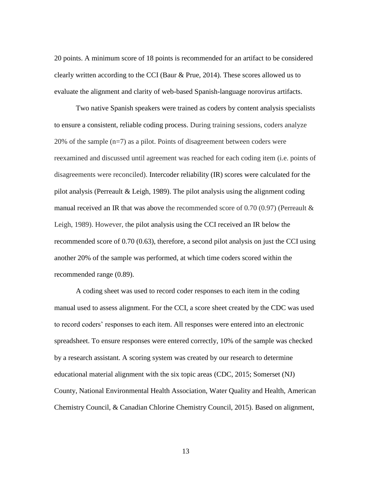20 points. A minimum score of 18 points is recommended for an artifact to be considered clearly written according to the CCI (Baur & Prue, 2014). These scores allowed us to evaluate the alignment and clarity of web-based Spanish-language norovirus artifacts.

Two native Spanish speakers were trained as coders by content analysis specialists to ensure a consistent, reliable coding process. During training sessions, coders analyze 20% of the sample  $(n=7)$  as a pilot. Points of disagreement between coders were reexamined and discussed until agreement was reached for each coding item (i.e. points of disagreements were reconciled). Intercoder reliability (IR) scores were calculated for the pilot analysis (Perreault  $& Leigh, 1989$ ). The pilot analysis using the alignment coding manual received an IR that was above the recommended score of 0.70 (0.97) (Perreault  $\&$ Leigh, 1989). However, the pilot analysis using the CCI received an IR below the recommended score of 0.70 (0.63), therefore, a second pilot analysis on just the CCI using another 20% of the sample was performed, at which time coders scored within the recommended range (0.89).

A coding sheet was used to record coder responses to each item in the coding manual used to assess alignment. For the CCI, a score sheet created by the CDC was used to record coders' responses to each item. All responses were entered into an electronic spreadsheet. To ensure responses were entered correctly, 10% of the sample was checked by a research assistant. A scoring system was created by our research to determine educational material alignment with the six topic areas (CDC, 2015; Somerset (NJ) County, National Environmental Health Association, Water Quality and Health, American Chemistry Council, & Canadian Chlorine Chemistry Council, 2015). Based on alignment,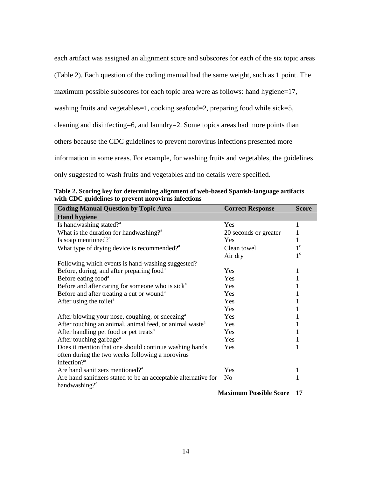each artifact was assigned an alignment score and subscores for each of the six topic areas (Table 2). Each question of the coding manual had the same weight, such as 1 point. The maximum possible subscores for each topic area were as follows: hand hygiene=17, washing fruits and vegetables=1, cooking seafood=2, preparing food while sick=5, cleaning and disinfecting=6, and laundry=2. Some topics areas had more points than others because the CDC guidelines to prevent norovirus infections presented more information in some areas. For example, for washing fruits and vegetables, the guidelines only suggested to wash fruits and vegetables and no details were specified.

| <b>Coding Manual Question by Topic Area</b>                         | <b>Correct Response</b>       | <b>Score</b> |
|---------------------------------------------------------------------|-------------------------------|--------------|
| <b>Hand hygiene</b>                                                 |                               |              |
| Is handwashing stated? <sup>a</sup>                                 | Yes                           | 1            |
| What is the duration for handwashing? <sup><math>a</math></sup>     | 20 seconds or greater         | 1            |
| Is soap mentioned? <sup>a</sup>                                     | Yes                           | 1            |
| What type of drying device is recommended? <sup>a</sup>             | Clean towel                   | $1^{\circ}$  |
|                                                                     | Air dry                       | $1^{\circ}$  |
| Following which events is hand-washing suggested?                   |                               |              |
| Before, during, and after preparing food <sup>a</sup>               | Yes                           | 1            |
| Before eating food <sup>a</sup>                                     | Yes                           |              |
| Before and after caring for someone who is sick <sup>a</sup>        | Yes                           |              |
| Before and after treating a cut or wound <sup>a</sup>               | Yes                           |              |
| After using the toilet <sup>a</sup>                                 | Yes                           |              |
|                                                                     | Yes                           |              |
| After blowing your nose, coughing, or sneezing <sup>a</sup>         | Yes                           |              |
| After touching an animal, animal feed, or animal waste <sup>a</sup> | Yes                           |              |
| After handling pet food or pet treats <sup>a</sup>                  | Yes                           |              |
| After touching garbage <sup>a</sup>                                 | Yes                           |              |
| Does it mention that one should continue washing hands              | Yes                           | 1            |
| often during the two weeks following a norovirus                    |                               |              |
| infection? <sup>a</sup>                                             |                               |              |
| Are hand sanitizers mentioned? <sup>a</sup>                         | Yes                           | 1            |
| Are hand sanitizers stated to be an acceptable alternative for      | N <sub>0</sub>                | 1            |
| handwashing? <sup>a</sup>                                           |                               |              |
|                                                                     | <b>Maximum Possible Score</b> | 17           |

**Table 2. Scoring key for determining alignment of web-based Spanish-language artifacts with CDC guidelines to prevent norovirus infections**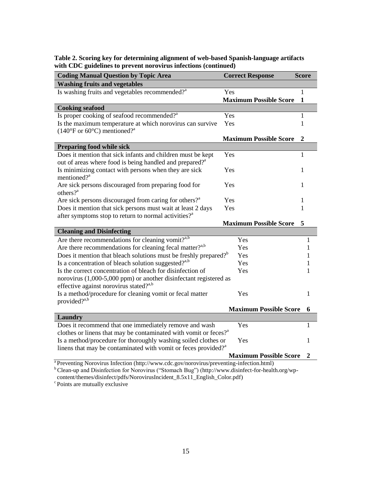**Table 2. Scoring key for determining alignment of web-based Spanish-language artifacts with CDC guidelines to prevent norovirus infections (continued)**

| <b>Coding Manual Question by Topic Area</b>                                                          |     | <b>Correct Response</b>       | <b>Score</b> |
|------------------------------------------------------------------------------------------------------|-----|-------------------------------|--------------|
| <b>Washing fruits and vegetables</b>                                                                 |     |                               |              |
| Is washing fruits and vegetables recommended? <sup>a</sup>                                           | Yes |                               | 1            |
|                                                                                                      |     | <b>Maximum Possible Score</b> | $\mathbf{1}$ |
| <b>Cooking seafood</b>                                                                               |     |                               |              |
| Is proper cooking of seafood recommended? <sup>a</sup>                                               | Yes |                               | 1            |
| Is the maximum temperature at which norovirus can survive                                            | Yes |                               | 1            |
| $(140^{\circ}$ F or 60 $^{\circ}$ C) mentioned? <sup>a</sup>                                         |     |                               |              |
|                                                                                                      |     | <b>Maximum Possible Score</b> | 2            |
| <b>Preparing food while sick</b>                                                                     |     |                               |              |
| Does it mention that sick infants and children must be kept                                          | Yes |                               | 1            |
| out of areas where food is being handled and prepared? <sup>a</sup>                                  |     |                               |              |
| Is minimizing contact with persons when they are sick                                                | Yes |                               | 1            |
| mentioned? <sup>a</sup>                                                                              |     |                               |              |
| Are sick persons discouraged from preparing food for                                                 | Yes |                               | 1            |
| $others?$ <sup>a</sup>                                                                               |     |                               |              |
| Are sick persons discouraged from caring for others? <sup>3</sup>                                    | Yes |                               | 1            |
| Does it mention that sick persons must wait at least 2 days                                          | Yes |                               | 1            |
| after symptoms stop to return to normal activities? <sup>a</sup>                                     |     |                               |              |
|                                                                                                      |     | <b>Maximum Possible Score</b> | 5            |
| <b>Cleaning and Disinfecting</b>                                                                     |     |                               |              |
| Are there recommendations for cleaning vomit? <sup>a,b</sup>                                         |     | Yes                           | 1            |
| Are there recommendations for cleaning fecal matter? <sup>a,b</sup>                                  |     | Yes                           | 1            |
| Does it mention that bleach solutions must be freshly prepared? <sup>b</sup>                         |     | Yes                           | 1            |
| Is a concentration of bleach solution suggested? <sup>3,b</sup>                                      |     | Yes                           | 1            |
| Is the correct concentration of bleach for disinfection of                                           |     | Yes                           | 1            |
| norovirus (1,000-5,000 ppm) or another disinfectant registered as                                    |     |                               |              |
| effective against norovirus stated? $a$ ,                                                            |     |                               |              |
| Is a method/procedure for cleaning vomit or fecal matter                                             |     | Yes                           | 1            |
| provided? <sup>a,b</sup>                                                                             |     |                               |              |
|                                                                                                      |     | <b>Maximum Possible Score</b> | 6            |
| <b>Laundry</b>                                                                                       |     |                               |              |
| Does it recommend that one immediately remove and wash                                               |     | Yes                           | 1            |
| clothes or linens that may be contaminated with vomit or feces? <sup>a</sup>                         |     |                               |              |
| Is a method/procedure for thoroughly washing soiled clothes or                                       |     | Yes                           | 1            |
| linens that may be contaminated with vomit or feces provided? <sup>a</sup>                           |     |                               |              |
|                                                                                                      |     | <b>Maximum Possible Score</b> | 2            |
| <sup>a</sup> Preventing Norovirus Infection (http://www.cdc.gov/norovirus/preventing-infection.html) |     |                               |              |

<sup>b</sup> Clean-up and Disinfection for Norovirus ("Stomach Bug") [\(http://www.disinfect-for-health.org/wp-](http://www.disinfect-for-health.org/wp-content/themes/disinfect/pdfs/NorovirusIncident_8.5x11_English_Color.pdf)

[content/themes/disinfect/pdfs/NorovirusIncident\\_8.5x11\\_English\\_Color.pdf\)](http://www.disinfect-for-health.org/wp-content/themes/disinfect/pdfs/NorovirusIncident_8.5x11_English_Color.pdf)

 $\degree$ Points are mutually exclusive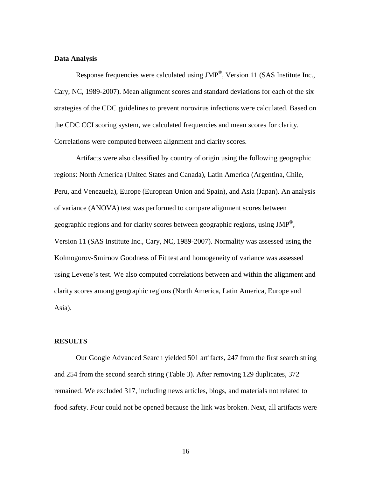#### **Data Analysis**

Response frequencies were calculated using  $JMP^{\circledast}$ , Version 11 (SAS Institute Inc., Cary, NC, 1989-2007). Mean alignment scores and standard deviations for each of the six strategies of the CDC guidelines to prevent norovirus infections were calculated. Based on the CDC CCI scoring system, we calculated frequencies and mean scores for clarity. Correlations were computed between alignment and clarity scores.

Artifacts were also classified by country of origin using the following geographic regions: North America (United States and Canada), Latin America (Argentina, Chile, Peru, and Venezuela), Europe (European Union and Spain), and Asia (Japan). An analysis of variance (ANOVA) test was performed to compare alignment scores between geographic regions and for clarity scores between geographic regions, using  $JMP^{\circledast}$ , Version 11 (SAS Institute Inc., Cary, NC, 1989-2007). Normality was assessed using the Kolmogorov-Smirnov Goodness of Fit test and homogeneity of variance was assessed using Levene's test. We also computed correlations between and within the alignment and clarity scores among geographic regions (North America, Latin America, Europe and Asia).

#### **RESULTS**

Our Google Advanced Search yielded 501 artifacts, 247 from the first search string and 254 from the second search string (Table 3). After removing 129 duplicates, 372 remained. We excluded 317, including news articles, blogs, and materials not related to food safety. Four could not be opened because the link was broken. Next, all artifacts were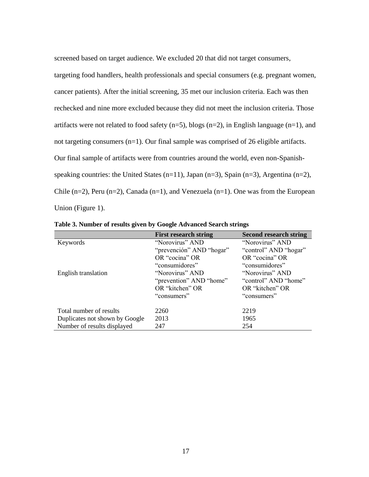screened based on target audience. We excluded 20 that did not target consumers, targeting food handlers, health professionals and special consumers (e.g. pregnant women, cancer patients). After the initial screening, 35 met our inclusion criteria. Each was then rechecked and nine more excluded because they did not meet the inclusion criteria. Those artifacts were not related to food safety  $(n=5)$ , blogs  $(n=2)$ , in English language  $(n=1)$ , and not targeting consumers (n=1). Our final sample was comprised of 26 eligible artifacts. Our final sample of artifacts were from countries around the world, even non-Spanishspeaking countries: the United States (n=11), Japan (n=3), Spain (n=3), Argentina (n=2), Chile  $(n=2)$ , Peru  $(n=2)$ , Canada  $(n=1)$ , and Venezuela  $(n=1)$ . One was from the European Union (Figure 1).

|                                | <b>First research string</b> | <b>Second research string</b> |
|--------------------------------|------------------------------|-------------------------------|
| Keywords                       | "Norovirus" AND              | "Norovirus" AND               |
|                                | "prevención" AND "hogar"     | "control" AND "hogar"         |
|                                | OR "cocina" OR               | OR "cocina" OR                |
|                                | "consumidores"               | "consumidores"                |
| English translation            | "Norovirus" AND              | "Norovirus" AND               |
|                                | "prevention" AND "home"      | "control" AND "home"          |
|                                | OR "kitchen" OR              | OR "kitchen" OR               |
|                                | "consumers"                  | "consumers"                   |
| Total number of results        | 2260                         | 2219                          |
| Duplicates not shown by Google | 2013                         | 1965                          |
| Number of results displayed    | 247                          | 254                           |

**Table 3. Number of results given by Google Advanced Search strings**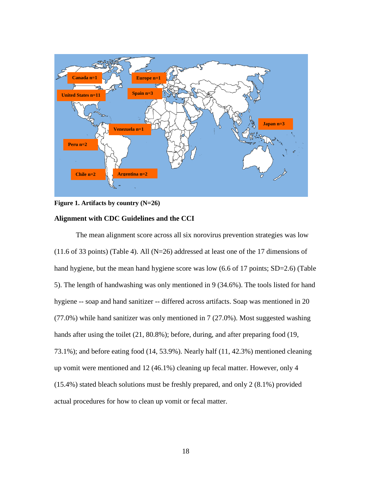

**Figure 1. Artifacts by country (N=26)**

#### **Alignment with CDC Guidelines and the CCI**

The mean alignment score across all six norovirus prevention strategies was low  $(11.6 \text{ of } 33 \text{ points})$  (Table 4). All (N=26) addressed at least one of the 17 dimensions of hand hygiene, but the mean hand hygiene score was low (6.6 of 17 points; SD=2.6) (Table 5). The length of handwashing was only mentioned in 9 (34.6%). The tools listed for hand hygiene -- soap and hand sanitizer -- differed across artifacts. Soap was mentioned in 20 (77.0%) while hand sanitizer was only mentioned in 7 (27.0%). Most suggested washing hands after using the toilet (21, 80.8%); before, during, and after preparing food (19, 73.1%); and before eating food (14, 53.9%). Nearly half (11, 42.3%) mentioned cleaning up vomit were mentioned and 12 (46.1%) cleaning up fecal matter. However, only 4 (15.4%) stated bleach solutions must be freshly prepared, and only 2 (8.1%) provided actual procedures for how to clean up vomit or fecal matter.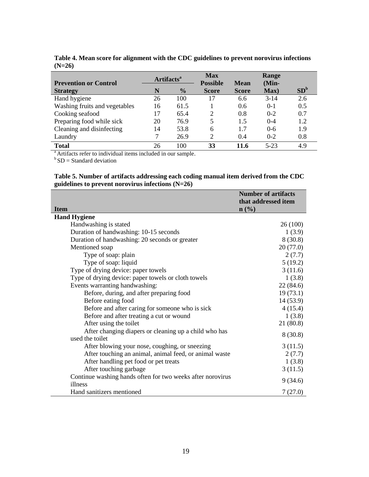| <b>Prevention or Control</b>  | Artifacts <sup>a</sup> |               | <b>Max</b><br><b>Possible</b> | <b>Mean</b>  | Range<br>$(Min-$ |                 |
|-------------------------------|------------------------|---------------|-------------------------------|--------------|------------------|-----------------|
| <b>Strategy</b>               | N                      | $\frac{6}{9}$ | <b>Score</b>                  | <b>Score</b> | Max)             | SD <sup>b</sup> |
| Hand hygiene                  | 26                     | 100           | 17                            | 6.6          | $3-14$           | 2.6             |
| Washing fruits and vegetables | 16                     | 61.5          |                               | 0.6          | $0-1$            | 0.5             |
| Cooking seafood               | 17                     | 65.4          |                               | 0.8          | $0 - 2$          | 0.7             |
| Preparing food while sick     | 20                     | 76.9          | 5                             | 1.5          | $0 - 4$          | 1.2             |
| Cleaning and disinfecting     | 14                     | 53.8          | 6                             | 1.7          | $0 - 6$          | 1.9             |
| Laundry                       |                        | 26.9          | $\mathcal{D}$                 | 0.4          | $0 - 2$          | 0.8             |
| <b>Total</b>                  | 26                     | 100           | 33                            | 11.6         | $5 - 23$         | 4.9             |

**Table 4. Mean score for alignment with the CDC guidelines to prevent norovirus infections (N=26)**

<sup>a</sup> Artifacts refer to individual items included in our sample.

 $b$  SD = Standard deviation

#### **Table 5. Number of artifacts addressing each coding manual item derived from the CDC guidelines to prevent norovirus infections (N=26)**

|                                                                          | <b>Number of artifacts</b><br>that addressed item |
|--------------------------------------------------------------------------|---------------------------------------------------|
| <b>Item</b>                                                              | $\mathbf{n}(\%)$                                  |
| <b>Hand Hygiene</b>                                                      |                                                   |
| Handwashing is stated                                                    | 26 (100)                                          |
| Duration of handwashing: 10-15 seconds                                   | 1(3.9)                                            |
| Duration of handwashing: 20 seconds or greater                           | 8(30.8)                                           |
| Mentioned soap                                                           | 20(77.0)                                          |
| Type of soap: plain                                                      | 2(7.7)                                            |
| Type of soap: liquid                                                     | 5(19.2)                                           |
| Type of drying device: paper towels                                      | 3(11.6)                                           |
| Type of drying device: paper towels or cloth towels                      | 1(3.8)                                            |
| Events warranting handwashing:                                           | 22(84.6)                                          |
| Before, during, and after preparing food                                 | 19(73.1)                                          |
| Before eating food                                                       | 14(53.9)                                          |
| Before and after caring for someone who is sick                          | 4(15.4)                                           |
| Before and after treating a cut or wound                                 | 1(3.8)                                            |
| After using the toilet                                                   | 21(80.8)                                          |
| After changing diapers or cleaning up a child who has<br>used the toilet | 8(30.8)                                           |
| After blowing your nose, coughing, or sneezing                           | 3(11.5)                                           |
| After touching an animal, animal feed, or animal waste                   | 2(7.7)                                            |
| After handling pet food or pet treats                                    | 1(3.8)                                            |
| After touching garbage                                                   | 3(11.5)                                           |
| Continue washing hands often for two weeks after norovirus<br>illness    | 9(34.6)                                           |
| Hand sanitizers mentioned                                                | 7(27.0)                                           |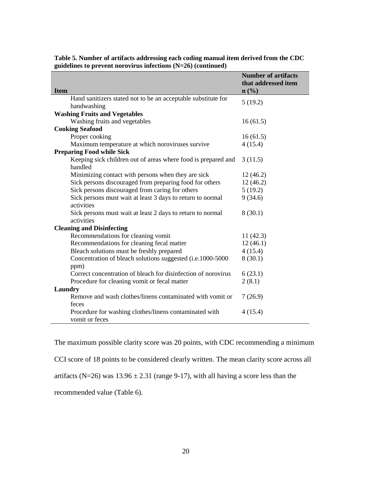|                                                                          | <b>Number of artifacts</b><br>that addressed item |
|--------------------------------------------------------------------------|---------------------------------------------------|
| <b>Item</b>                                                              | $n$ (%)                                           |
| Hand sanitizers stated not to be an acceptable substitute for            | 5(19.2)                                           |
| handwashing                                                              |                                                   |
| <b>Washing Fruits and Vegetables</b>                                     |                                                   |
| Washing fruits and vegetables                                            | 16(61.5)                                          |
| <b>Cooking Seafood</b>                                                   |                                                   |
| Proper cooking                                                           | 16(61.5)                                          |
| Maximum temperature at which noroviruses survive                         | 4(15.4)                                           |
| <b>Preparing Food while Sick</b>                                         |                                                   |
| Keeping sick children out of areas where food is prepared and<br>handled | 3(11.5)                                           |
| Minimizing contact with persons when they are sick                       | 12(46.2)                                          |
| Sick persons discouraged from preparing food for others                  | 12(46.2)                                          |
| Sick persons discouraged from caring for others                          | 5(19.2)                                           |
| Sick persons must wait at least 3 days to return to normal<br>activities | 9(34.6)                                           |
| Sick persons must wait at least 2 days to return to normal<br>activities | 8(30.1)                                           |
| <b>Cleaning and Disinfecting</b>                                         |                                                   |
| Recommendations for cleaning vomit                                       | 11(42.3)                                          |
| Recommendations for cleaning fecal matter                                | 12(46.1)                                          |
| Bleach solutions must be freshly prepared                                | 4(15.4)                                           |
| Concentration of bleach solutions suggested (i.e.1000-5000               | 8(30.1)                                           |
| ppm)                                                                     |                                                   |
| Correct concentration of bleach for disinfection of norovirus            | 6(23.1)                                           |
| Procedure for cleaning vomit or fecal matter                             | 2(8.1)                                            |
| Laundry                                                                  |                                                   |
| Remove and wash clothes/linens contaminated with vomit or<br>feces       | 7(26.9)                                           |
| Procedure for washing clothes/linens contaminated with<br>vomit or feces | 4(15.4)                                           |

**Table 5. Number of artifacts addressing each coding manual item derived from the CDC guidelines to prevent norovirus infections (N=26) (continued)** 

The maximum possible clarity score was 20 points, with CDC recommending a minimum

CCI score of 18 points to be considered clearly written. The mean clarity score across all

artifacts (N=26) was  $13.96 \pm 2.31$  (range 9-17), with all having a score less than the

recommended value (Table 6).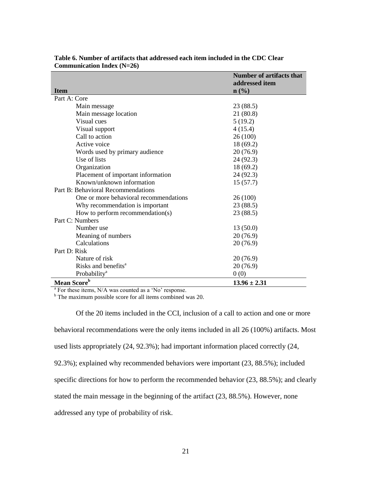|                                        | <b>Number of artifacts that</b><br>addressed item |
|----------------------------------------|---------------------------------------------------|
| <b>Item</b>                            | n(%)                                              |
| Part A: Core                           |                                                   |
| Main message                           | 23(88.5)                                          |
| Main message location                  | 21 (80.8)                                         |
| Visual cues                            | 5(19.2)                                           |
| Visual support                         | 4(15.4)                                           |
| Call to action                         | 26 (100)                                          |
| Active voice                           | 18 (69.2)                                         |
| Words used by primary audience         | 20(76.9)                                          |
| Use of lists                           | 24(92.3)                                          |
| Organization                           | 18 (69.2)                                         |
| Placement of important information     | 24(92.3)                                          |
| Known/unknown information              | 15(57.7)                                          |
| Part B: Behavioral Recommendations     |                                                   |
| One or more behavioral recommendations | 26(100)                                           |
| Why recommendation is important        | 23(88.5)                                          |
| How to perform recommendation(s)       | 23 (88.5)                                         |
| Part C: Numbers                        |                                                   |
| Number use                             | 13(50.0)                                          |
| Meaning of numbers                     | 20 (76.9)                                         |
| Calculations                           | 20(76.9)                                          |
| Part D: Risk                           |                                                   |
| Nature of risk                         | 20(76.9)                                          |
| Risks and benefits <sup>a</sup>        | 20(76.9)                                          |
| Probability <sup>a</sup>               | 0(0)                                              |
| Mean Score <sup>b</sup>                | $13.96 \pm 2.31$                                  |

**Table 6. Number of artifacts that addressed each item included in the CDC Clear Communication Index (N=26)** 

<sup>a</sup> For these items, N/A was counted as a 'No' response.

<sup>b</sup> The maximum possible score for all items combined was 20.

Of the 20 items included in the CCI, inclusion of a call to action and one or more behavioral recommendations were the only items included in all 26 (100%) artifacts. Most used lists appropriately (24, 92.3%); had important information placed correctly (24, 92.3%); explained why recommended behaviors were important (23, 88.5%); included specific directions for how to perform the recommended behavior (23, 88.5%); and clearly stated the main message in the beginning of the artifact (23, 88.5%). However, none addressed any type of probability of risk.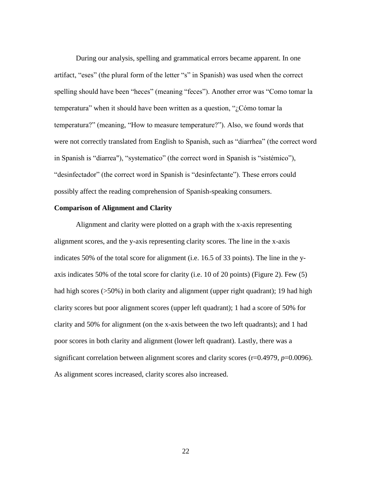During our analysis, spelling and grammatical errors became apparent. In one artifact, "eses" (the plural form of the letter "s" in Spanish) was used when the correct spelling should have been "heces" (meaning "feces"). Another error was "Como tomar la temperatura" when it should have been written as a question, "¿Cómo tomar la temperatura?" (meaning, "How to measure temperature?"). Also, we found words that were not correctly translated from English to Spanish, such as "diarrhea" (the correct word in Spanish is "diarrea"), "systematico" (the correct word in Spanish is "sistémico"), "desinfectador" (the correct word in Spanish is "desinfectante"). These errors could possibly affect the reading comprehension of Spanish-speaking consumers.

#### **Comparison of Alignment and Clarity**

Alignment and clarity were plotted on a graph with the x-axis representing alignment scores, and the y-axis representing clarity scores. The line in the x-axis indicates 50% of the total score for alignment (i.e. 16.5 of 33 points). The line in the yaxis indicates 50% of the total score for clarity (i.e. 10 of 20 points) (Figure 2). Few (5) had high scores (>50%) in both clarity and alignment (upper right quadrant); 19 had high clarity scores but poor alignment scores (upper left quadrant); 1 had a score of 50% for clarity and 50% for alignment (on the x-axis between the two left quadrants); and 1 had poor scores in both clarity and alignment (lower left quadrant). Lastly, there was a significant correlation between alignment scores and clarity scores (r=0.4979, *p*=0.0096). As alignment scores increased, clarity scores also increased.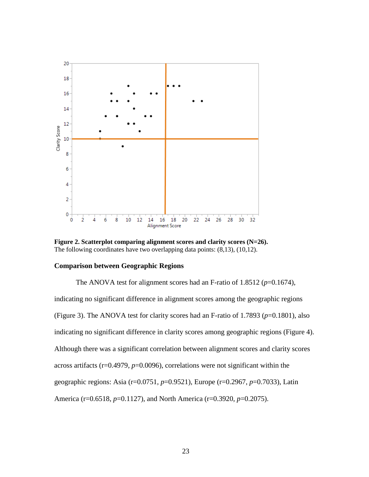

**Figure 2. Scatterplot comparing alignment scores and clarity scores (N=26).** The following coordinates have two overlapping data points: (8,13), (10,12).

#### **Comparison between Geographic Regions**

The ANOVA test for alignment scores had an F-ratio of  $1.8512$  ( $p=0.1674$ ), indicating no significant difference in alignment scores among the geographic regions (Figure 3). The ANOVA test for clarity scores had an F-ratio of 1.7893 ( $p=0.1801$ ), also indicating no significant difference in clarity scores among geographic regions (Figure 4). Although there was a significant correlation between alignment scores and clarity scores across artifacts (r=0.4979, *p*=0.0096), correlations were not significant within the geographic regions: Asia (r=0.0751, *p*=0.9521), Europe (r=0.2967, *p*=0.7033), Latin America (r=0.6518, *p*=0.1127), and North America (r=0.3920, *p*=0.2075).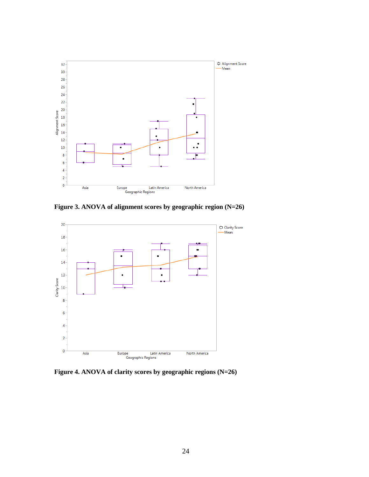

**Figure 3. ANOVA of alignment scores by geographic region (N=26)** 



**Figure 4. ANOVA of clarity scores by geographic regions (N=26)**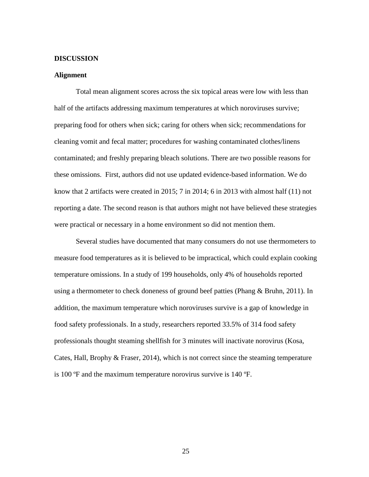#### **DISCUSSION**

#### **Alignment**

Total mean alignment scores across the six topical areas were low with less than half of the artifacts addressing maximum temperatures at which noroviruses survive; preparing food for others when sick; caring for others when sick; recommendations for cleaning vomit and fecal matter; procedures for washing contaminated clothes/linens contaminated; and freshly preparing bleach solutions. There are two possible reasons for these omissions. First, authors did not use updated evidence-based information. We do know that 2 artifacts were created in 2015; 7 in 2014; 6 in 2013 with almost half (11) not reporting a date. The second reason is that authors might not have believed these strategies were practical or necessary in a home environment so did not mention them.

Several studies have documented that many consumers do not use thermometers to measure food temperatures as it is believed to be impractical, which could explain cooking temperature omissions. In a study of 199 households, only 4% of households reported using a thermometer to check doneness of ground beef patties (Phang & Bruhn, 2011). In addition, the maximum temperature which noroviruses survive is a gap of knowledge in food safety professionals. In a study, researchers reported 33.5% of 314 food safety professionals thought steaming shellfish for 3 minutes will inactivate norovirus (Kosa, Cates, Hall, Brophy & Fraser, 2014), which is not correct since the steaming temperature is 100 ºF and the maximum temperature norovirus survive is 140 ºF.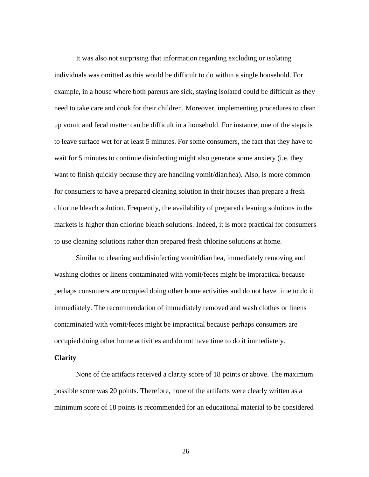It was also not surprising that information regarding excluding or isolating individuals was omitted as this would be difficult to do within a single household. For example, in a house where both parents are sick, staying isolated could be difficult as they need to take care and cook for their children. Moreover, implementing procedures to clean up vomit and fecal matter can be difficult in a household. For instance, one of the steps is to leave surface wet for at least 5 minutes. For some consumers, the fact that they have to wait for 5 minutes to continue disinfecting might also generate some anxiety (i.e. they want to finish quickly because they are handling vomit/diarrhea). Also, is more common for consumers to have a prepared cleaning solution in their houses than prepare a fresh chlorine bleach solution. Frequently, the availability of prepared cleaning solutions in the markets is higher than chlorine bleach solutions. Indeed, it is more practical for consumers to use cleaning solutions rather than prepared fresh chlorine solutions at home.

Similar to cleaning and disinfecting vomit/diarrhea, immediately removing and washing clothes or linens contaminated with vomit/feces might be impractical because perhaps consumers are occupied doing other home activities and do not have time to do it immediately. The recommendation of immediately removed and wash clothes or linens contaminated with vomit/feces might be impractical because perhaps consumers are occupied doing other home activities and do not have time to do it immediately.

#### **Clarity**

None of the artifacts received a clarity score of 18 points or above. The maximum possible score was 20 points. Therefore, none of the artifacts were clearly written as a minimum score of 18 points is recommended for an educational material to be considered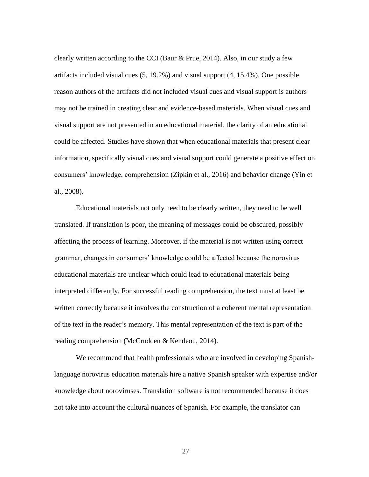clearly written according to the CCI (Baur & Prue, 2014). Also, in our study a few artifacts included visual cues (5, 19.2%) and visual support (4, 15.4%). One possible reason authors of the artifacts did not included visual cues and visual support is authors may not be trained in creating clear and evidence-based materials. When visual cues and visual support are not presented in an educational material, the clarity of an educational could be affected. Studies have shown that when educational materials that present clear information, specifically visual cues and visual support could generate a positive effect on consumers' knowledge, comprehension (Zipkin et al., 2016) and behavior change (Yin et al., 2008).

Educational materials not only need to be clearly written, they need to be well translated. If translation is poor, the meaning of messages could be obscured, possibly affecting the process of learning. Moreover, if the material is not written using correct grammar, changes in consumers' knowledge could be affected because the norovirus educational materials are unclear which could lead to educational materials being interpreted differently. For successful reading comprehension, the text must at least be written correctly because it involves the construction of a coherent mental representation of the text in the reader's memory. This mental representation of the text is part of the reading comprehension (McCrudden & Kendeou, 2014).

We recommend that health professionals who are involved in developing Spanishlanguage norovirus education materials hire a native Spanish speaker with expertise and/or knowledge about noroviruses. Translation software is not recommended because it does not take into account the cultural nuances of Spanish. For example, the translator can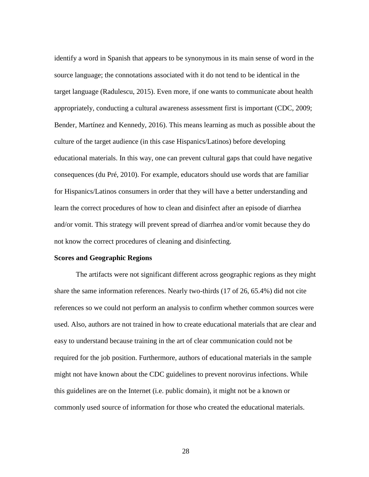identify a word in Spanish that appears to be synonymous in its main sense of word in the source language; the connotations associated with it do not tend to be identical in the target language (Radulescu, 2015). Even more, if one wants to communicate about health appropriately, conducting a cultural awareness assessment first is important (CDC, 2009; Bender, Martínez and Kennedy, 2016). This means learning as much as possible about the culture of the target audience (in this case Hispanics/Latinos) before developing educational materials. In this way, one can prevent cultural gaps that could have negative consequences (du Pré, 2010). For example, educators should use words that are familiar for Hispanics/Latinos consumers in order that they will have a better understanding and learn the correct procedures of how to clean and disinfect after an episode of diarrhea and/or vomit. This strategy will prevent spread of diarrhea and/or vomit because they do not know the correct procedures of cleaning and disinfecting.

#### **Scores and Geographic Regions**

The artifacts were not significant different across geographic regions as they might share the same information references. Nearly two-thirds (17 of 26, 65.4%) did not cite references so we could not perform an analysis to confirm whether common sources were used. Also, authors are not trained in how to create educational materials that are clear and easy to understand because training in the art of clear communication could not be required for the job position. Furthermore, authors of educational materials in the sample might not have known about the CDC guidelines to prevent norovirus infections. While this guidelines are on the Internet (i.e. public domain), it might not be a known or commonly used source of information for those who created the educational materials.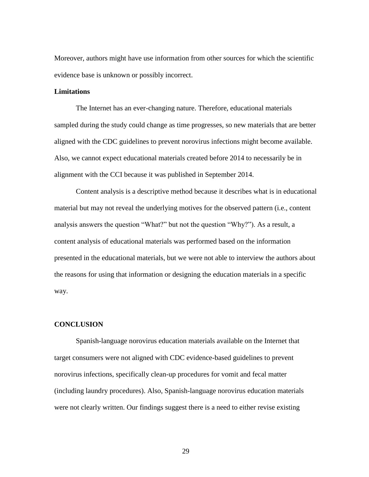Moreover, authors might have use information from other sources for which the scientific evidence base is unknown or possibly incorrect.

#### **Limitations**

The Internet has an ever-changing nature. Therefore, educational materials sampled during the study could change as time progresses, so new materials that are better aligned with the CDC guidelines to prevent norovirus infections might become available. Also, we cannot expect educational materials created before 2014 to necessarily be in alignment with the CCI because it was published in September 2014.

Content analysis is a descriptive method because it describes what is in educational material but may not reveal the underlying motives for the observed pattern (i.e., content analysis answers the question "What?" but not the question "Why?"). As a result, a content analysis of educational materials was performed based on the information presented in the educational materials, but we were not able to interview the authors about the reasons for using that information or designing the education materials in a specific way.

#### **CONCLUSION**

Spanish-language norovirus education materials available on the Internet that target consumers were not aligned with CDC evidence-based guidelines to prevent norovirus infections, specifically clean-up procedures for vomit and fecal matter (including laundry procedures). Also, Spanish-language norovirus education materials were not clearly written. Our findings suggest there is a need to either revise existing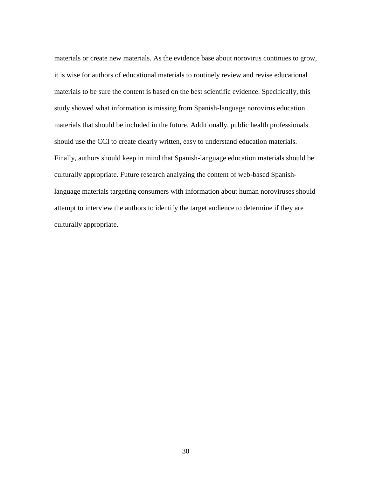materials or create new materials. As the evidence base about norovirus continues to grow, it is wise for authors of educational materials to routinely review and revise educational materials to be sure the content is based on the best scientific evidence. Specifically, this study showed what information is missing from Spanish-language norovirus education materials that should be included in the future. Additionally, public health professionals should use the CCI to create clearly written, easy to understand education materials. Finally, authors should keep in mind that Spanish-language education materials should be culturally appropriate. Future research analyzing the content of web-based Spanishlanguage materials targeting consumers with information about human noroviruses should attempt to interview the authors to identify the target audience to determine if they are culturally appropriate.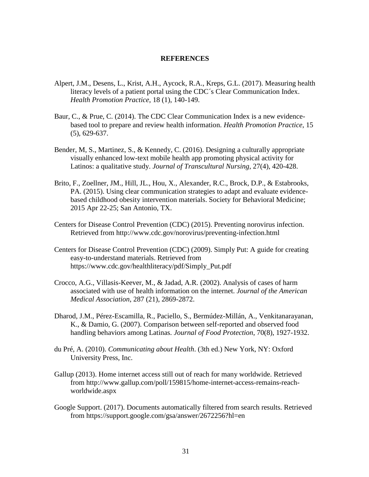#### **REFERENCES**

- Alpert, J.M., Desens, L., Krist, A.H., Aycock, R.A., Kreps, G.L. (2017). Measuring health literacy levels of a patient portal using the CDC´s Clear Communication Index. *Health Promotion Practice*, 18 (1), 140-149.
- Baur, C., & Prue, C. (2014). The CDC Clear Communication Index is a new evidencebased tool to prepare and review health information. *Health Promotion Practice*, 15 (5), 629-637.
- Bender, M, S., Martinez, S., & Kennedy, C. (2016). Designing a culturally appropriate visually enhanced low-text mobile health app promoting physical activity for Latinos: a qualitative study. *Journal of Transcultural Nursing*, 27(4), 420-428.
- Brito, F., Zoellner, JM., Hill, JL., Hou, X., Alexander, R.C., Brock, D.P., & Estabrooks, PA. (2015). Using clear communication strategies to adapt and evaluate evidencebased childhood obesity intervention materials. Society for Behavioral Medicine; 2015 Apr 22-25; San Antonio, TX.
- Centers for Disease Control Prevention (CDC) (2015). Preventing norovirus infection. Retrieved from<http://www.cdc.gov/norovirus/preventing-infection.html>
- Centers for Disease Control Prevention (CDC) (2009). Simply Put: A guide for creating easy-to-understand materials. Retrieved from https://www.cdc.gov/healthliteracy/pdf/Simply\_Put.pdf
- Crocco, A.G., Villasis-Keever, M., & Jadad, A.R. (2002). Analysis of cases of harm associated with use of health information on the internet. *Journal of the American Medical Association*, 287 (21), 2869-2872.
- Dharod, J.M., Pérez-Escamilla, R., Paciello, S., Bermúdez-Millán, A., Venkitanarayanan, K., & Damio, G. (2007). Comparison between self-reported and observed food handling behaviors among Latinas. *Journal of Food Protection*, 70(8), 1927-1932.
- du Pré, A. (2010). *Communicating about Health*. (3th ed.) New York, NY: Oxford University Press, Inc.
- Gallup (2013). Home internet access still out of reach for many worldwide. Retrieved from http://www.gallup.com/poll/159815/home-internet-access-remains-reachworldwide.aspx
- Google Support. (2017). Documents automatically filtered from search results. Retrieved from https://support.google.com/gsa/answer/2672256?hl=en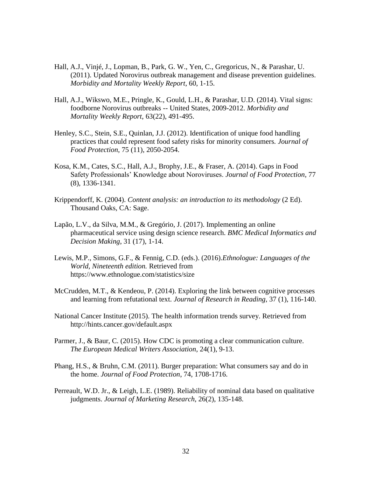- Hall, A.J., Vinjé, J., Lopman, B., Park, G. W., Yen, C., Gregoricus, N., & Parashar, U. (2011). Updated Norovirus outbreak management and disease prevention guidelines. *Morbidity and Mortality Weekly Report*, 60, 1-15.
- Hall, A.J., Wikswo, M.E., Pringle, K., Gould, L.H., & Parashar, U.D. (2014). Vital signs: foodborne Norovirus outbreaks -- United States, 2009-2012. *Morbidity and Mortality Weekly Report*, 63(22), 491-495.
- Henley, S.C., Stein, S.E., Quinlan, J.J. (2012). Identification of unique food handling practices that could represent food safety risks for minority consumers*. Journal of Food Protection*, 75 (11), 2050-2054.
- Kosa, K.M., Cates, S.C., Hall, A.J., Brophy, J.E., & Fraser, A. (2014). Gaps in Food Safety Professionals' Knowledge about Noroviruses. *Journal of Food Protection*, 77 (8), 1336-1341.
- Krippendorff, K. (2004). *Content analysis: an introduction to its methodology* (2 Ed). Thousand Oaks, CA: Sage.
- Lapão, L.V., da Silva, M.M., & Gregório, J. (2017). Implementing an online pharmaceutical service using design science research. *BMC Medical Informatics and Decision Making*, 31 (17), 1-14.
- Lewis, M.P., Simons, G.F., & Fennig, C.D. (eds.). (2016).*Ethnologue: Languages of the World, Nineteenth edition.* Retrieved from <https://www.ethnologue.com/statistics/size>
- McCrudden, M.T., & Kendeou, P. (2014). Exploring the link between cognitive processes and learning from refutational text. *Journal of Research in Reading*, 37 (1), 116-140.
- National Cancer Institute (2015). The health information trends survey. Retrieved from http://hints.cancer.gov/default.aspx
- Parmer, J., & Baur, C. (2015). How CDC is promoting a clear communication culture. *The European Medical Writers Association*, 24(1), 9-13.
- Phang, H.S., & Bruhn, C.M. (2011). Burger preparation: What consumers say and do in the home. *Journal of Food Protection*, 74, 1708-1716.
- Perreault, W.D. Jr., & Leigh, L.E. (1989). Reliability of nominal data based on qualitative judgments. *Journal of Marketing Research*, 26(2), 135-148.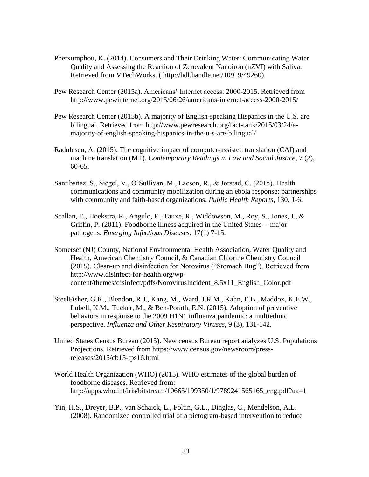- Phetxumphou, K. (2014). Consumers and Their Drinking Water: Communicating Water Quality and Assessing the Reaction of Zerovalent Nanoiron (nZVI) with Saliva. Retrieved from VTechWorks. ( [http://hdl.handle.net/10919/49260\)](http://hdl.handle.net/10919/49260)
- Pew Research Center (2015a). Americans' Internet access: 2000-2015. Retrieved from <http://www.pewinternet.org/2015/06/26/americans-internet-access-2000-2015/>
- Pew Research Center (2015b). A majority of English-speaking Hispanics in the U.S. are bilingual. Retrieved from [http://www.pewresearch.org/fact-tank/2015/03/24/a](http://www.pewresearch.org/fact-tank/2015/03/24/a-majority-of-english-speaking-hispanics-in-the-u-s-are-bilingual/)[majority-of-english-speaking-hispanics-in-the-u-s-are-bilingual/](http://www.pewresearch.org/fact-tank/2015/03/24/a-majority-of-english-speaking-hispanics-in-the-u-s-are-bilingual/)
- Radulescu, A. (2015). The cognitive impact of computer-assisted translation (CAI) and machine translation (MT). *Contemporary Readings in Law and Social Justice*, 7 (2), 60-65.
- Santibañez, S., Siegel, V., O'Sullivan, M., Lacson, R., & Jorstad, C. (2015). Health communications and community mobilization during an ebola response: partnerships with community and faith-based organizations. *Public Health Reports*, 130, 1-6.
- Scallan, E., Hoekstra, R., Angulo, F., Tauxe, R., Widdowson, M., Roy, S., Jones, J., & Griffin, P. (2011). Foodborne illness acquired in the United States -- major pathogens. *Emerging Infectious Diseases*, 17(1) 7-15.
- Somerset (NJ) County, National Environmental Health Association, Water Quality and Health, American Chemistry Council, & Canadian Chlorine Chemistry Council (2015). Clean-up and disinfection for Norovirus ("Stomach Bug"). Retrieved from [http://www.disinfect-for-health.org/wp](http://www.disinfect-for-health.org/wp-content/themes/disinfect/pdfs/NorovirusIncident_8.5x11_English_Color.pdf)[content/themes/disinfect/pdfs/NorovirusIncident\\_8.5x11\\_English\\_Color.pdf](http://www.disinfect-for-health.org/wp-content/themes/disinfect/pdfs/NorovirusIncident_8.5x11_English_Color.pdf)
- SteelFisher, G.K., Blendon, R.J., Kang, M., Ward, J.R.M., Kahn, E.B., Maddox, K.E.W., Lubell, K.M., Tucker, M., & Ben-Porath, E.N. (2015). Adoption of preventive behaviors in response to the 2009 H1N1 influenza pandemic: a multiethnic perspective. *Influenza and Other Respiratory Viruses*, 9 (3), 131-142.
- United States Census Bureau (2015). New census Bureau report analyzes U.S. Populations Projections. Retrieved from https://www.census.gov/newsroom/pressreleases/2015/cb15-tps16.html
- World Health Organization (WHO) (2015). WHO estimates of the global burden of foodborne diseases. Retrieved from: [http://apps.who.int/iris/bitstream/10665/199350/1/9789241565165\\_eng.pdf?ua=1](http://apps.who.int/iris/bitstream/10665/199350/1/9789241565165_eng.pdf?ua=1)
- Yin, H.S., Dreyer, B.P., van Schaick, L., Foltin, G.L., Dinglas, C., Mendelson, A.L. (2008). Randomized controlled trial of a pictogram-based intervention to reduce